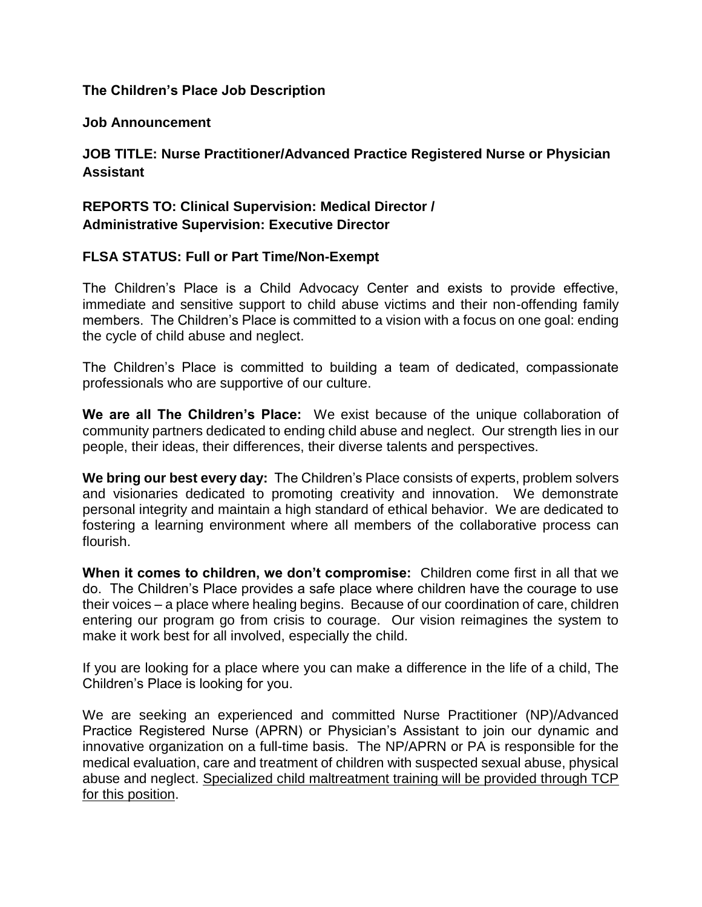#### **The Children's Place Job Description**

#### **Job Announcement**

# **JOB TITLE: Nurse Practitioner/Advanced Practice Registered Nurse or Physician Assistant**

## **REPORTS TO: Clinical Supervision: Medical Director / Administrative Supervision: Executive Director**

#### **FLSA STATUS: Full or Part Time/Non-Exempt**

The Children's Place is a Child Advocacy Center and exists to provide effective, immediate and sensitive support to child abuse victims and their non-offending family members. The Children's Place is committed to a vision with a focus on one goal: ending the cycle of child abuse and neglect.

The Children's Place is committed to building a team of dedicated, compassionate professionals who are supportive of our culture.

**We are all The Children's Place:** We exist because of the unique collaboration of community partners dedicated to ending child abuse and neglect. Our strength lies in our people, their ideas, their differences, their diverse talents and perspectives.

**We bring our best every day:** The Children's Place consists of experts, problem solvers and visionaries dedicated to promoting creativity and innovation. We demonstrate personal integrity and maintain a high standard of ethical behavior. We are dedicated to fostering a learning environment where all members of the collaborative process can flourish.

**When it comes to children, we don't compromise:** Children come first in all that we do. The Children's Place provides a safe place where children have the courage to use their voices – a place where healing begins. Because of our coordination of care, children entering our program go from crisis to courage. Our vision reimagines the system to make it work best for all involved, especially the child.

If you are looking for a place where you can make a difference in the life of a child, The Children's Place is looking for you.

We are seeking an experienced and committed Nurse Practitioner (NP)/Advanced Practice Registered Nurse (APRN) or Physician's Assistant to join our dynamic and innovative organization on a full-time basis. The NP/APRN or PA is responsible for the medical evaluation, care and treatment of children with suspected sexual abuse, physical abuse and neglect. Specialized child maltreatment training will be provided through TCP for this position.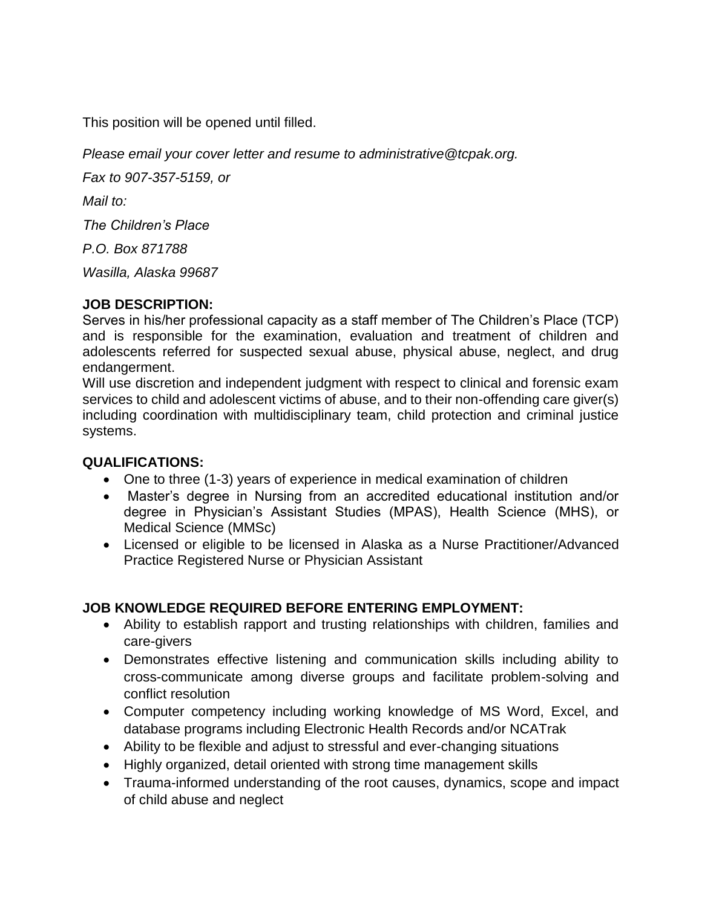This position will be opened until filled.

*Please email your cover letter and resume to administrative@tcpak.org.*

*Fax to 907-357-5159, or*

*Mail to:*

*The Children's Place*

*P.O. Box 871788*

*Wasilla, Alaska 99687*

#### **JOB DESCRIPTION:**

Serves in his/her professional capacity as a staff member of The Children's Place (TCP) and is responsible for the examination, evaluation and treatment of children and adolescents referred for suspected sexual abuse, physical abuse, neglect, and drug endangerment.

Will use discretion and independent judgment with respect to clinical and forensic exam services to child and adolescent victims of abuse, and to their non-offending care giver(s) including coordination with multidisciplinary team, child protection and criminal justice systems.

## **QUALIFICATIONS:**

- One to three (1-3) years of experience in medical examination of children
- Master's degree in Nursing from an accredited educational institution and/or degree in Physician's Assistant Studies (MPAS), Health Science (MHS), or Medical Science (MMSc)
- Licensed or eligible to be licensed in Alaska as a Nurse Practitioner/Advanced Practice Registered Nurse or Physician Assistant

# **JOB KNOWLEDGE REQUIRED BEFORE ENTERING EMPLOYMENT:**

- Ability to establish rapport and trusting relationships with children, families and care-givers
- Demonstrates effective listening and communication skills including ability to cross-communicate among diverse groups and facilitate problem-solving and conflict resolution
- Computer competency including working knowledge of MS Word, Excel, and database programs including Electronic Health Records and/or NCATrak
- Ability to be flexible and adjust to stressful and ever-changing situations
- Highly organized, detail oriented with strong time management skills
- Trauma-informed understanding of the root causes, dynamics, scope and impact of child abuse and neglect